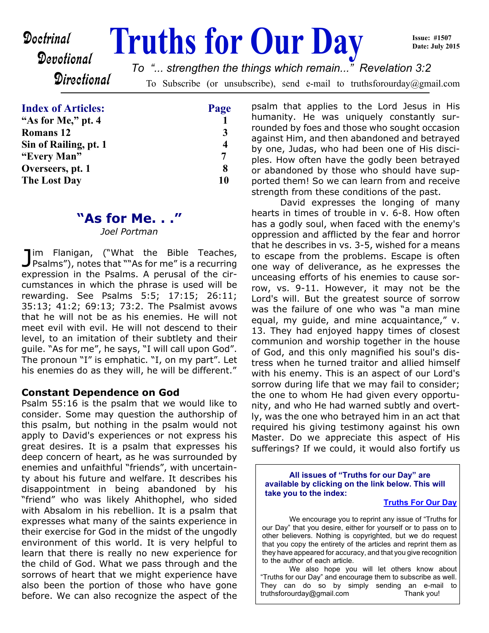# **Doctrinal Truths for Our Day**

**Issue: #1507 Date: July 2015**

**Directional** 

Devotional

To Subscribe (or unsubscribe), send e-mail to truthsforourday@gmail.com *To "... strengthen the things which remain..." Revelation 3:2*

| <b>Index of Articles:</b> | Page                    |
|---------------------------|-------------------------|
| "As for Me," pt. 4        |                         |
| <b>Romans</b> 12          | 3                       |
| Sin of Railing, pt. 1     | $\overline{\mathbf{4}}$ |
| "Every Man"               | 7                       |
| Overseers, pt. 1          | 8                       |
| <b>The Lost Day</b>       | 10                      |

# **"As for Me. . ."**

*Joel Portman*

Jim Flanigan, ("What the Bible Teaches,<br>Psalms"), notes that ""As for me" is a recurring im Flanigan, ("What the Bible Teaches, expression in the Psalms. A perusal of the circumstances in which the phrase is used will be rewarding. See Psalms 5:5; 17:15; 26:11; 35:13; 41:2; 69:13; 73:2. The Psalmist avows that he will not be as his enemies. He will not meet evil with evil. He will not descend to their level, to an imitation of their subtlety and their guile. "As for me", he says, "I will call upon God". The pronoun "I" is emphatic. "I, on my part". Let his enemies do as they will, he will be different."

#### **Constant Dependence on God**

Psalm 55:16 is the psalm that we would like to consider. Some may question the authorship of this psalm, but nothing in the psalm would not apply to David's experiences or not express his great desires. It is a psalm that expresses his deep concern of heart, as he was surrounded by enemies and unfaithful "friends", with uncertainty about his future and welfare. It describes his disappointment in being abandoned by his "friend" who was likely Ahithophel, who sided with Absalom in his rebellion. It is a psalm that expresses what many of the saints experience in their exercise for God in the midst of the ungodly environment of this world. It is very helpful to learn that there is really no new experience for the child of God. What we pass through and the sorrows of heart that we might experience have also been the portion of those who have gone before. We can also recognize the aspect of the

psalm that applies to the Lord Jesus in His humanity. He was uniquely constantly surrounded by foes and those who sought occasion against Him, and then abandoned and betrayed by one, Judas, who had been one of His disciples. How often have the godly been betrayed or abandoned by those who should have supported them! So we can learn from and receive strength from these conditions of the past.

 David expresses the longing of many hearts in times of trouble in v. 6-8. How often has a godly soul, when faced with the enemy's oppression and afflicted by the fear and horror that he describes in vs. 3-5, wished for a means to escape from the problems. Escape is often one way of deliverance, as he expresses the unceasing efforts of his enemies to cause sorrow, vs. 9-11. However, it may not be the Lord's will. But the greatest source of sorrow was the failure of one who was "a man mine equal, my guide, and mine acquaintance," v. 13. They had enjoyed happy times of closest communion and worship together in the house of God, and this only magnified his soul's distress when he turned traitor and allied himself with his enemy. This is an aspect of our Lord's sorrow during life that we may fail to consider; the one to whom He had given every opportunity, and who He had warned subtly and overtly, was the one who betrayed him in an act that required his giving testimony against his own Master. Do we appreciate this aspect of His sufferings? If we could, it would also fortify us

**All issues of "Truths for our Day" are available by clicking on the link below. This will take you to the index:**

#### **[Truths For Our Day](http://truthsforourday.com)**

 We encourage you to reprint any issue of "Truths for our Day" that you desire, either for yourself or to pass on to other believers. Nothing is copyrighted, but we do request that you copy the entirety of the articles and reprint them as they have appeared for accuracy, and that you give recognition to the author of each article.

 We also hope you will let others know about "Truths for our Day" and encourage them to subscribe as well. They can do so by simply sending an e-mail to truthsforourday@gmail.com Thank you!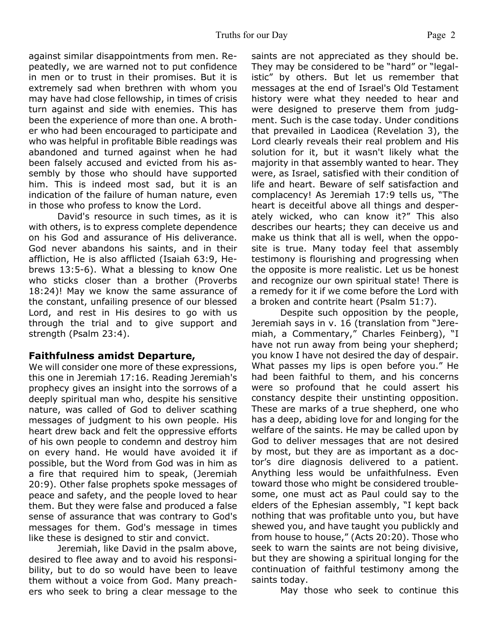against similar disappointments from men. Repeatedly, we are warned not to put confidence in men or to trust in their promises. But it is extremely sad when brethren with whom you may have had close fellowship, in times of crisis turn against and side with enemies. This has been the experience of more than one. A brother who had been encouraged to participate and who was helpful in profitable Bible readings was abandoned and turned against when he had been falsely accused and evicted from his assembly by those who should have supported him. This is indeed most sad, but it is an indication of the failure of human nature, even in those who profess to know the Lord.

 David's resource in such times, as it is with others, is to express complete dependence on his God and assurance of His deliverance. God never abandons his saints, and in their affliction, He is also afflicted (Isaiah 63:9, Hebrews 13:5-6). What a blessing to know One who sticks closer than a brother (Proverbs 18:24)! May we know the same assurance of the constant, unfailing presence of our blessed Lord, and rest in His desires to go with us through the trial and to give support and strength (Psalm 23:4).

#### **Faithfulness amidst Departure,**

We will consider one more of these expressions, this one in Jeremiah 17:16. Reading Jeremiah's prophecy gives an insight into the sorrows of a deeply spiritual man who, despite his sensitive nature, was called of God to deliver scathing messages of judgment to his own people. His heart drew back and felt the oppressive efforts of his own people to condemn and destroy him on every hand. He would have avoided it if possible, but the Word from God was in him as a fire that required him to speak, (Jeremiah 20:9). Other false prophets spoke messages of peace and safety, and the people loved to hear them. But they were false and produced a false sense of assurance that was contrary to God's messages for them. God's message in times like these is designed to stir and convict.

 Jeremiah, like David in the psalm above, desired to flee away and to avoid his responsibility, but to do so would have been to leave them without a voice from God. Many preachers who seek to bring a clear message to the saints are not appreciated as they should be. They may be considered to be "hard" or "legalistic" by others. But let us remember that messages at the end of Israel's Old Testament history were what they needed to hear and were designed to preserve them from judgment. Such is the case today. Under conditions that prevailed in Laodicea (Revelation 3), the Lord clearly reveals their real problem and His solution for it, but it wasn't likely what the majority in that assembly wanted to hear. They were, as Israel, satisfied with their condition of life and heart. Beware of self satisfaction and complacency! As Jeremiah 17:9 tells us, "The heart is deceitful above all things and desperately wicked, who can know it?" This also describes our hearts; they can deceive us and make us think that all is well, when the opposite is true. Many today feel that assembly testimony is flourishing and progressing when the opposite is more realistic. Let us be honest and recognize our own spiritual state! There is a remedy for it if we come before the Lord with a broken and contrite heart (Psalm 51:7).

 Despite such opposition by the people, Jeremiah says in v. 16 (translation from "Jeremiah, a Commentary," Charles Feinberg), "I have not run away from being your shepherd; you know I have not desired the day of despair. What passes my lips is open before you." He had been faithful to them, and his concerns were so profound that he could assert his constancy despite their unstinting opposition. These are marks of a true shepherd, one who has a deep, abiding love for and longing for the welfare of the saints. He may be called upon by God to deliver messages that are not desired by most, but they are as important as a doctor's dire diagnosis delivered to a patient. Anything less would be unfaithfulness. Even toward those who might be considered troublesome, one must act as Paul could say to the elders of the Ephesian assembly, "I kept back nothing that was profitable unto you, but have shewed you, and have taught you publickly and from house to house," (Acts 20:20). Those who seek to warn the saints are not being divisive, but they are showing a spiritual longing for the continuation of faithful testimony among the saints today.

May those who seek to continue this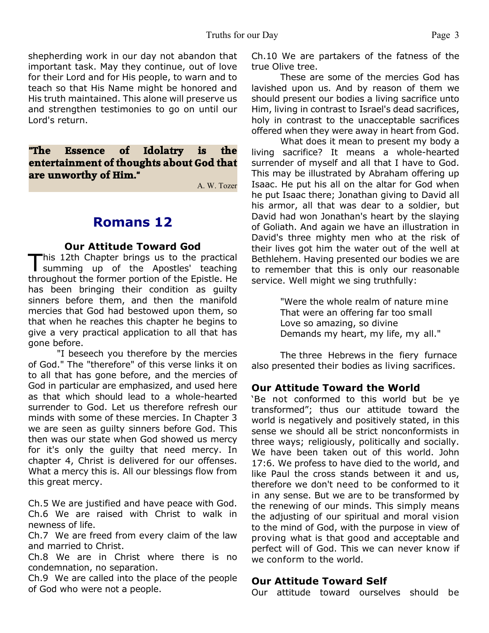shepherding work in our day not abandon that important task. May they continue, out of love for their Lord and for His people, to warn and to teach so that His Name might be honored and His truth maintained. This alone will preserve us and strengthen testimonies to go on until our Lord's return.

**"The Essence of Idolatry is the entertainment of thoughts about God that are unworthy of Him."**

A. W. Tozer

## **Romans 12**

#### **Our Attitude Toward God**

This 12th Chapter brings us to the practical<br>summing up of the Apostles' teaching This 12th Chapter brings us to the practical throughout the former portion of the Epistle. He has been bringing their condition as guilty sinners before them, and then the manifold mercies that God had bestowed upon them, so that when he reaches this chapter he begins to give a very practical application to all that has gone before.

 "I beseech you therefore by the mercies of God." The "therefore" of this verse links it on to all that has gone before, and the mercies of God in particular are emphasized, and used here as that which should lead to a whole-hearted surrender to God. Let us therefore refresh our minds with some of these mercies. In Chapter 3 we are seen as guilty sinners before God. This then was our state when God showed us mercy for it's only the guilty that need mercy. In chapter 4, Christ is delivered for our offenses. What a mercy this is. All our blessings flow from this great mercy.

Ch.5 We are justified and have peace with God. Ch.6 We are raised with Christ to walk in newness of life.

Ch.7 We are freed from every claim of the law and married to Christ.

Ch.8 We are in Christ where there is no condemnation, no separation.

Ch.9 We are called into the place of the people of God who were not a people.

Ch.10 We are partakers of the fatness of the true Olive tree.

 These are some of the mercies God has lavished upon us. And by reason of them we should present our bodies a living sacrifice unto Him, living in contrast to Israel's dead sacrifices, holy in contrast to the unacceptable sacrifices offered when they were away in heart from God.

 What does it mean to present my body a living sacrifice? It means a whole-hearted surrender of myself and all that I have to God. This may be illustrated by Abraham offering up Isaac. He put his all on the altar for God when he put Isaac there; Jonathan giving to David all his armor, all that was dear to a soldier, but David had won Jonathan's heart by the slaying of Goliath. And again we have an illustration in David's three mighty men who at the risk of their lives got him the water out of the well at Bethlehem. Having presented our bodies we are to remember that this is only our reasonable service. Well might we sing truthfully:

> "Were the whole realm of nature mine That were an offering far too small Love so amazing, so divine Demands my heart, my life, my all."

 The three Hebrews in the fiery furnace also presented their bodies as living sacrifices.

#### **Our Attitude Toward the World**

'Be not conformed to this world but be ye transformed"; thus our attitude toward the world is negatively and positively stated, in this sense we should all be strict nonconformists in three ways; religiously, politically and socially. We have been taken out of this world. John 17:6. We profess to have died to the world, and like Paul the cross stands between it and us, therefore we don't need to be conformed to it in any sense. But we are to be transformed by the renewing of our minds. This simply means the adjusting of our spiritual and moral vision to the mind of God, with the purpose in view of proving what is that good and acceptable and perfect will of God. This we can never know if we conform to the world.

#### **Our Attitude Toward Self**

Our attitude toward ourselves should be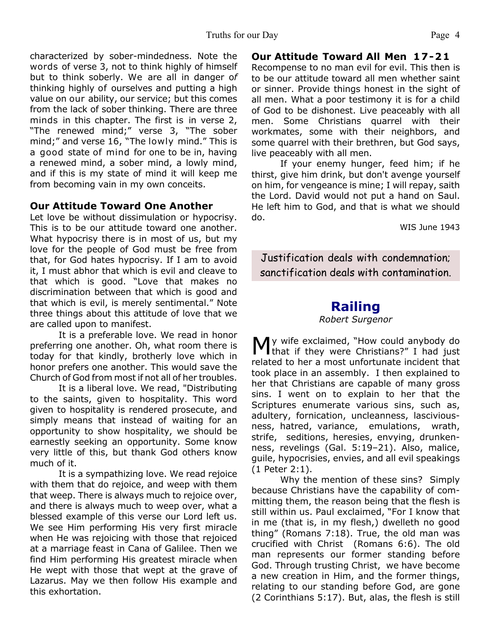characterized by sober-mindedness. Note the words of verse 3, not to think highly of himself but to think soberly. We are all in danger o*f* thinking highly of ourselves and putting a high value on our ability, our service; but this comes from the lack of sober thinking. There are three minds in this chapter. The first is in verse 2, "The renewed mind;" verse 3, "The sober mind;" and verse 16, "The lowly mind." This is a good state of mind for one to be in, having a renewed mind, a sober mind, a lowly mind, and if this is my state of mind it will keep me from becoming vain in my own conceits.

#### **Our Attitude Toward One Another**

Let love be without dissimulation or hypocrisy. This is to be our attitude toward one another. What hypocrisy there is in most of us, but my love for the people of God must be free from that, for God hates hypocrisy. If I am to avoid it, I must abhor that which is evil and cleave to that which is good. "Love that makes no discrimination between that which is good and that which is evil, is merely sentimental." Note three things about this attitude of love that we are called upon to manifest.

 It is a preferable love. We read in honor preferring one another. Oh, what room there is today for that kindly, brotherly love which in honor prefers one another. This would save the Church of God from most if not all of her troubles.

 It is a liberal love. We read, "Distributing to the saints, given to hospitality. This word given to hospitality is rendered prosecute, and simply means that instead of waiting for an opportunity to show hospitality, we should be earnestly seeking an opportunity. Some know very little of this, but thank God others know much of it.

 It is a sympathizing love. We read rejoice with them that do rejoice, and weep with them that weep. There is always much to rejoice over, and there is always much to weep over, what a blessed example of this verse our Lord left us. We see Him performing His very first miracle when He was rejoicing with those that rejoiced at a marriage feast in Cana of Galilee. Then we find Him performing His greatest miracle when He wept with those that wept at the grave of Lazarus. May we then follow His example and this exhortation.

#### **Our Attitude Toward All Men 17-21**

Recompense to no man evil for evil. This then is to be our attitude toward all men whether saint or sinner. Provide things honest in the sight of all men. What a poor testimony it is for a child of God to be dishonest. Live peaceably with all men. Some Christians quarrel with their workmates, some with their neighbors, and some quarrel with their brethren, but God says, live peaceably with all men.

 If your enemy hunger, feed him; if he thirst, give him drink, but don't avenge yourself on him, for vengeance is mine; I will repay, saith the Lord. David would not put a hand on Saul. He left him to God, and that is what we should do.

WIS June 1943

Justification deals with condemnation; sanctification deals with contamination.

# **Railing**

*Robert Surgenor*

My wife exclaimed, "How could anybody do that if they were Christians?" I had just that if they were Christians?" I had just related to her a most unfortunate incident that took place in an assembly. I then explained to her that Christians are capable of many gross sins. I went on to explain to her that the Scriptures enumerate various sins, such as, adultery, fornication, uncleanness, lasciviousness, hatred, variance, emulations, wrath, strife, seditions, heresies, envying, drunkenness, revelings (Gal. 5:19–21). Also, malice, guile, hypocrisies, envies, and all evil speakings (1 Peter 2:1).

 Why the mention of these sins? Simply because Christians have the capability of committing them, the reason being that the flesh is still within us. Paul exclaimed, "For I know that in me (that is, in my flesh,) dwelleth no good thing" (Romans 7:18). True, the old man was crucified with Christ (Romans 6:6). The old man represents our former standing before God. Through trusting Christ, we have become a new creation in Him, and the former things, relating to our standing before God, are gone (2 Corinthians 5:17). But, alas, the flesh is still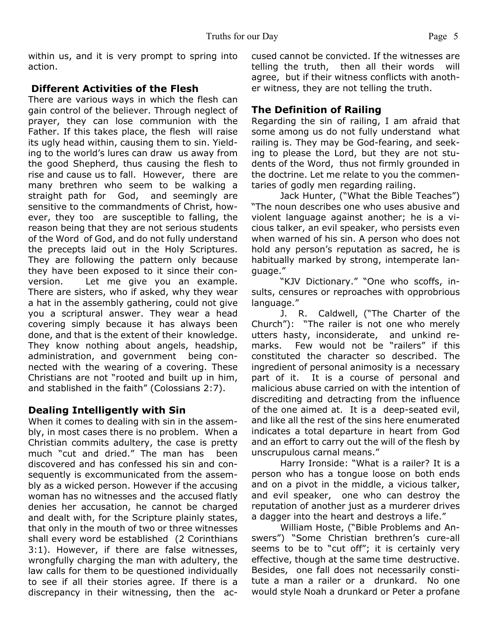within us, and it is very prompt to spring into action.

#### **Different Activities of the Flesh**

There are various ways in which the flesh can gain control of the believer. Through neglect of prayer, they can lose communion with the Father. If this takes place, the flesh will raise its ugly head within, causing them to sin. Yielding to the world's lures can draw us away from the good Shepherd, thus causing the flesh to rise and cause us to fall. However, there are many brethren who seem to be walking a straight path for God, and seemingly are sensitive to the commandments of Christ, however, they too are susceptible to falling, the reason being that they are not serious students of the Word of God, and do not fully understand the precepts laid out in the Holy Scriptures. They are following the pattern only because they have been exposed to it since their conversion. Let me give you an example. There are sisters, who if asked, why they wear a hat in the assembly gathering, could not give you a scriptural answer. They wear a head covering simply because it has always been done, and that is the extent of their knowledge. They know nothing about angels, headship, administration, and government being connected with the wearing of a covering. These Christians are not "rooted and built up in him, and stablished in the faith" (Colossians 2:7).

#### **Dealing Intelligently with Sin**

When it comes to dealing with sin in the assembly, in most cases there is no problem. When a Christian commits adultery, the case is pretty much "cut and dried." The man has been discovered and has confessed his sin and consequently is excommunicated from the assembly as a wicked person. However if the accusing woman has no witnesses and the accused flatly denies her accusation, he cannot be charged and dealt with, for the Scripture plainly states, that only in the mouth of two or three witnesses shall every word be established (2 Corinthians 3:1). However, if there are false witnesses, wrongfully charging the man with adultery, the law calls for them to be questioned individually to see if all their stories agree. If there is a discrepancy in their witnessing, then the accused cannot be convicted. If the witnesses are telling the truth, then all their words will agree, but if their witness conflicts with another witness, they are not telling the truth.

#### **The Definition of Railing**

Regarding the sin of railing, I am afraid that some among us do not fully understand what railing is. They may be God-fearing, and seeking to please the Lord, but they are not students of the Word, thus not firmly grounded in the doctrine. Let me relate to you the commentaries of godly men regarding railing.

 Jack Hunter, ("What the Bible Teaches") "The noun describes one who uses abusive and violent language against another; he is a vicious talker, an evil speaker, who persists even when warned of his sin. A person who does not hold any person's reputation as sacred, he is habitually marked by strong, intemperate language."

 "KJV Dictionary." "One who scoffs, insults, censures or reproaches with opprobrious language."

 J. R. Caldwell, ("The Charter of the Church"): "The railer is not one who merely utters hasty, inconsiderate, and unkind remarks. Few would not be "railers" if this constituted the character so described. The ingredient of personal animosity is a necessary part of it. It is a course of personal and malicious abuse carried on with the intention of discrediting and detracting from the influence of the one aimed at. It is a deep-seated evil, and like all the rest of the sins here enumerated indicates a total departure in heart from God and an effort to carry out the will of the flesh by unscrupulous carnal means."

 Harry Ironside: "What is a railer? It is a person who has a tongue loose on both ends and on a pivot in the middle, a vicious talker, and evil speaker, one who can destroy the reputation of another just as a murderer drives a dagger into the heart and destroys a life."

 William Hoste, ("Bible Problems and Answers") "Some Christian brethren's cure-all seems to be to "cut off"; it is certainly very effective, though at the same time destructive. Besides, one fall does not necessarily constitute a man a railer or a drunkard. No one would style Noah a drunkard or Peter a profane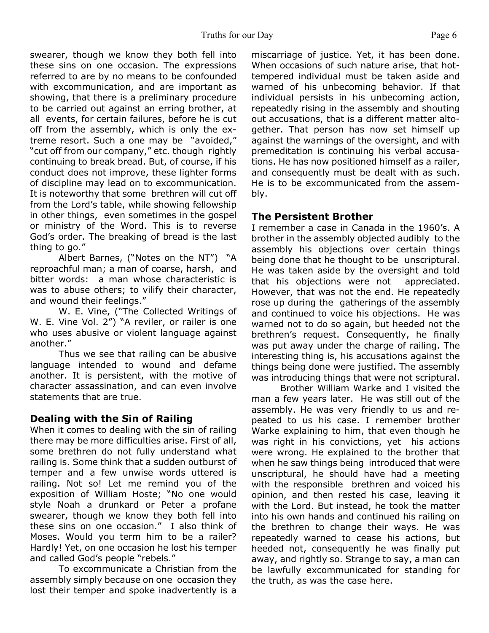#### Truths for our Day Page 6

swearer, though we know they both fell into these sins on one occasion. The expressions referred to are by no means to be confounded with excommunication, and are important as showing, that there is a preliminary procedure to be carried out against an erring brother, at all events, for certain failures, before he is cut off from the assembly, which is only the extreme resort. Such a one may be "avoided," "cut off from our company," etc. though rightly continuing to break bread. But, of course, if his conduct does not improve, these lighter forms of discipline may lead on to excommunication. It is noteworthy that some brethren will cut off from the Lord's table, while showing fellowship in other things, even sometimes in the gospel or ministry of the Word. This is to reverse God's order. The breaking of bread is the last thing to go."

 Albert Barnes, ("Notes on the NT") "A reproachful man; a man of coarse, harsh, and bitter words: a man whose characteristic is was to abuse others; to vilify their character, and wound their feelings."

 W. E. Vine, ("The Collected Writings of W. E. Vine Vol. 2") "A reviler, or railer is one who uses abusive or violent language against another."

 Thus we see that railing can be abusive language intended to wound and defame another. It is persistent, with the motive of character assassination, and can even involve statements that are true.

#### **Dealing with the Sin of Railing**

When it comes to dealing with the sin of railing there may be more difficulties arise. First of all, some brethren do not fully understand what railing is. Some think that a sudden outburst of temper and a few unwise words uttered is railing. Not so! Let me remind you of the exposition of William Hoste; "No one would style Noah a drunkard or Peter a profane swearer, though we know they both fell into these sins on one occasion." I also think of Moses. Would you term him to be a railer? Hardly! Yet, on one occasion he lost his temper and called God's people "rebels."

 To excommunicate a Christian from the assembly simply because on one occasion they lost their temper and spoke inadvertently is a miscarriage of justice. Yet, it has been done. When occasions of such nature arise, that hottempered individual must be taken aside and warned of his unbecoming behavior. If that individual persists in his unbecoming action, repeatedly rising in the assembly and shouting out accusations, that is a different matter altogether. That person has now set himself up against the warnings of the oversight, and with premeditation is continuing his verbal accusations. He has now positioned himself as a railer, and consequently must be dealt with as such. He is to be excommunicated from the assembly.

#### **The Persistent Brother**

I remember a case in Canada in the 1960's. A brother in the assembly objected audibly to the assembly his objections over certain things being done that he thought to be unscriptural. He was taken aside by the oversight and told that his objections were not appreciated. However, that was not the end. He repeatedly rose up during the gatherings of the assembly and continued to voice his objections. He was warned not to do so again, but heeded not the brethren's request. Consequently, he finally was put away under the charge of railing. The interesting thing is, his accusations against the things being done were justified. The assembly was introducing things that were not scriptural.

 Brother William Warke and I visited the man a few years later. He was still out of the assembly. He was very friendly to us and repeated to us his case. I remember brother Warke explaining to him, that even though he was right in his convictions, yet his actions were wrong. He explained to the brother that when he saw things being introduced that were unscriptural, he should have had a meeting with the responsible brethren and voiced his opinion, and then rested his case, leaving it with the Lord. But instead, he took the matter into his own hands and continued his railing on the brethren to change their ways. He was repeatedly warned to cease his actions, but heeded not, consequently he was finally put away, and rightly so. Strange to say, a man can be lawfully excommunicated for standing for the truth, as was the case here.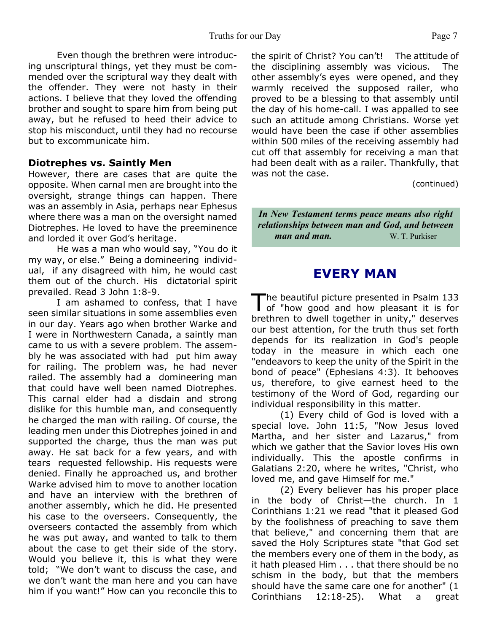Even though the brethren were introducing unscriptural things, yet they must be commended over the scriptural way they dealt with the offender. They were not hasty in their actions. I believe that they loved the offending brother and sought to spare him from being put away, but he refused to heed their advice to stop his misconduct, until they had no recourse but to excommunicate him.

#### **Diotrephes vs. Saintly Men**

However, there are cases that are quite the opposite. When carnal men are brought into the oversight, strange things can happen. There was an assembly in Asia, perhaps near Ephesus where there was a man on the oversight named Diotrephes. He loved to have the preeminence and lorded it over God's heritage.

 He was a man who would say, "You do it my way, or else." Being a domineering individual, if any disagreed with him, he would cast them out of the church. His dictatorial spirit prevailed. Read 3 John 1:8-9.

 I am ashamed to confess, that I have seen similar situations in some assemblies even in our day. Years ago when brother Warke and I were in Northwestern Canada, a saintly man came to us with a severe problem. The assembly he was associated with had put him away for railing. The problem was, he had never railed. The assembly had a domineering man that could have well been named Diotrephes. This carnal elder had a disdain and strong dislike for this humble man, and consequently he charged the man with railing. Of course, the leading men under this Diotrephes joined in and supported the charge, thus the man was put away. He sat back for a few years, and with tears requested fellowship. His requests were denied. Finally he approached us, and brother Warke advised him to move to another location and have an interview with the brethren of another assembly, which he did. He presented his case to the overseers. Consequently, the overseers contacted the assembly from which he was put away, and wanted to talk to them about the case to get their side of the story. Would you believe it, this is what they were told; "We don't want to discuss the case, and we don't want the man here and you can have him if you want!" How can you reconcile this to

the spirit of Christ? You can't! The attitude of the disciplining assembly was vicious. The other assembly's eyes were opened, and they warmly received the supposed railer, who proved to be a blessing to that assembly until the day of his home-call. I was appalled to see such an attitude among Christians. Worse yet would have been the case if other assemblies within 500 miles of the receiving assembly had cut off that assembly for receiving a man that had been dealt with as a railer. Thankfully, that was not the case.

(continued)

*In New Testament terms peace means also right relationships between man and God, and between man and man.* W. T. Purkiser

## **EVERY MAN**

The beautiful picture presented in Psalm 133<br>of "how good and how pleasant it is for he beautiful picture presented in Psalm 133 brethren to dwell together in unity," deserves our best attention, for the truth thus set forth depends for its realization in God's people today in the measure in which each one "endeavors to keep the unity of the Spirit in the bond of peace" (Ephesians 4:3). It behooves us, therefore, to give earnest heed to the testimony of the Word of God, regarding our individual responsibility in this matter.

 (1) Every child of God is loved with a special love. John 11:5, "Now Jesus loved Martha, and her sister and Lazarus," from which we gather that the Savior loves His own individually. This the apostle confirms in Galatians 2:20, where he writes, "Christ, who loved me, and gave Himself for me."

 (2) Every believer has his proper place in the body of Christ—the church. In 1 Corinthians 1:21 we read "that it pleased God by the foolishness of preaching to save them that believe," and concerning them that are saved the Holy Scriptures state "that God set the members every one of them in the body, as it hath pleased Him . . . that there should be no schism in the body, but that the members should have the same care one for another" (1 Corinthians 12:18-25). What a great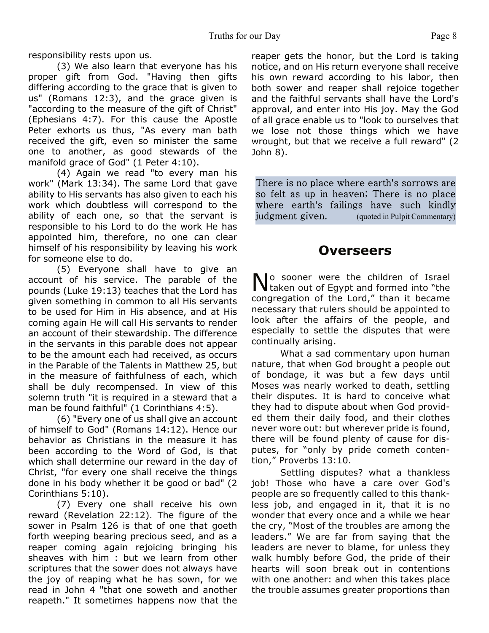responsibility rests upon us.

 (3) We also learn that everyone has his proper gift from God. "Having then gifts differing according to the grace that is given to us" (Romans 12:3), and the grace given is "according to the measure of the gift of Christ" (Ephesians 4:7). For this cause the Apostle Peter exhorts us thus, "As every man bath received the gift, even so minister the same one to another, as good stewards of the manifold grace of God" (1 Peter 4:10).

 (4) Again we read "to every man his work" (Mark 13:34). The same Lord that gave ability to His servants has also given to each his work which doubtless will correspond to the ability of each one, so that the servant is responsible to his Lord to do the work He has appointed him, therefore, no one can clear himself of his responsibility by leaving his work for someone else to do.

 (5) Everyone shall have to give an account of his service. The parable of the pounds (Luke 19:13) teaches that the Lord has given something in common to all His servants to be used for Him in His absence, and at His coming again He will call His servants to render an account of their stewardship. The difference in the servants in this parable does not appear to be the amount each had received, as occurs in the Parable of the Talents in Matthew 25, but in the measure of faithfulness of each, which shall be duly recompensed. In view of this solemn truth "it is required in a steward that a man be found faithful" (1 Corinthians 4:5).

 (6) "Every one of us shall give an account of himself to God" (Romans 14:12). Hence our behavior as Christians in the measure it has been according to the Word of God, is that which shall determine our reward in the day of Christ, "for every one shall receive the things done in his body whether it be good or bad" (2 Corinthians 5:10).

 (7) Every one shall receive his own reward (Revelation 22:12). The figure of the sower in Psalm 126 is that of one that goeth forth weeping bearing precious seed, and as a reaper coming again rejoicing bringing his sheaves with him : but we learn from other scriptures that the sower does not always have the joy of reaping what he has sown, for we read in John 4 "that one soweth and another reapeth." It sometimes happens now that the reaper gets the honor, but the Lord is taking notice, and on His return everyone shall receive his own reward according to his labor, then both sower and reaper shall rejoice together and the faithful servants shall have the Lord's approval, and enter into His joy. May the God of all grace enable us to "look to ourselves that we lose not those things which we have wrought, but that we receive a full reward" (2 John 8).

There is no place where earth's sorrows are so felt as up in heaven; There is no place where earth's failings have such kindly judgment given. (quoted in Pulpit Commentary)

### **Overseers**

No sooner were the children of Israel<br>Naken out of Egypt and formed into "the lo sooner were the children of Israel congregation of the Lord," than it became necessary that rulers should be appointed to look after the affairs of the people, and especially to settle the disputes that were continually arising.

 What a sad commentary upon human nature, that when God brought a people out of bondage, it was but a few days until Moses was nearly worked to death, settling their disputes. It is hard to conceive what they had to dispute about when God provided them their daily food, and their clothes never wore out: but wherever pride is found, there will be found plenty of cause for disputes, for "only by pride cometh contention," Proverbs 13:10.

 Settling disputes? what a thankless job! Those who have a care over God's people are so frequently called to this thankless job, and engaged in it, that it is no wonder that every once and a while we hear the cry, "Most of the troubles are among the leaders." We are far from saying that the leaders are never to blame, for unless they walk humbly before God, the pride of their hearts will soon break out in contentions with one another: and when this takes place the trouble assumes greater proportions than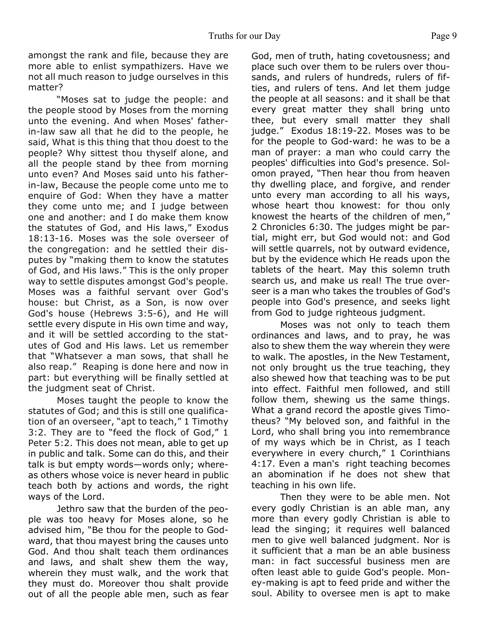amongst the rank and file, because they are more able to enlist sympathizers. Have we not all much reason to judge ourselves in this matter?

 "Moses sat to judge the people: and the people stood by Moses from the morning unto the evening. And when Moses' fatherin-law saw all that he did to the people, he said, What is this thing that thou doest to the people? Why sittest thou thyself alone, and all the people stand by thee from morning unto even? And Moses said unto his fatherin-law, Because the people come unto me to enquire of God: When they have a matter they come unto me; and I judge between one and another: and I do make them know the statutes of God, and His laws," Exodus 18:13-16. Moses was the sole overseer of the congregation: and he settled their disputes by "making them to know the statutes of God, and His laws." This is the only proper way to settle disputes amongst God's people. Moses was a faithful servant over God's house: but Christ, as a Son, is now over God's house (Hebrews 3:5-6), and He will settle every dispute in His own time and way, and it will be settled according to the statutes of God and His laws. Let us remember that "Whatsever a man sows, that shall he also reap." Reaping is done here and now in part: but everything will be finally settled at the judgment seat of Christ.

 Moses taught the people to know the statutes of God; and this is still one qualification of an overseer, "apt to teach," 1 Timothy 3:2. They are to "feed the flock of God," 1 Peter 5:2. This does not mean, able to get up in public and talk. Some can do this, and their talk is but empty words—words only; whereas others whose voice is never heard in public teach both by actions and words, the right ways of the Lord.

 Jethro saw that the burden of the people was too heavy for Moses alone, so he advised him, "Be thou for the people to Godward, that thou mayest bring the causes unto God. And thou shalt teach them ordinances and laws, and shalt shew them the way, wherein they must walk, and the work that they must do. Moreover thou shalt provide out of all the people able men, such as fear God, men of truth, hating covetousness; and place such over them to be rulers over thousands, and rulers of hundreds, rulers of fifties, and rulers of tens. And let them judge the people at all seasons: and it shall be that every great matter they shall bring unto thee, but every small matter they shall judge." Exodus 18:19-22. Moses was to be for the people to God-ward: he was to be a man of prayer: a man who could carry the peoples' difficulties into God's presence. Solomon prayed, "Then hear thou from heaven thy dwelling place, and forgive, and render unto every man according to all his ways, whose heart thou knowest: for thou only knowest the hearts of the children of men," 2 Chronicles 6:30. The judges might be partial, might err, but God would not: and God will settle quarrels, not by outward evidence, but by the evidence which He reads upon the tablets of the heart. May this solemn truth search us, and make us real! The true overseer is a man who takes the troubles of God's people into God's presence, and seeks light from God to judge righteous judgment.

 Moses was not only to teach them ordinances and laws, and to pray, he was also to shew them the way wherein they were to walk. The apostles, in the New Testament, not only brought us the true teaching, they also shewed how that teaching was to be put into effect. Faithful men followed, and still follow them, shewing us the same things. What a grand record the apostle gives Timotheus? "My beloved son, and faithful in the Lord, who shall bring you into remembrance of my ways which be in Christ, as I teach everywhere in every church," 1 Corinthians 4:17. Even a man's right teaching becomes an abomination if he does not shew that teaching in his own life.

 Then they were to be able men. Not every godly Christian is an able man, any more than every godly Christian is able to lead the singing; it requires well balanced men to give well balanced judgment. Nor is it sufficient that a man be an able business man: in fact successful business men are often least able to guide God's people. Money-making is apt to feed pride and wither the soul. Ability to oversee men is apt to make